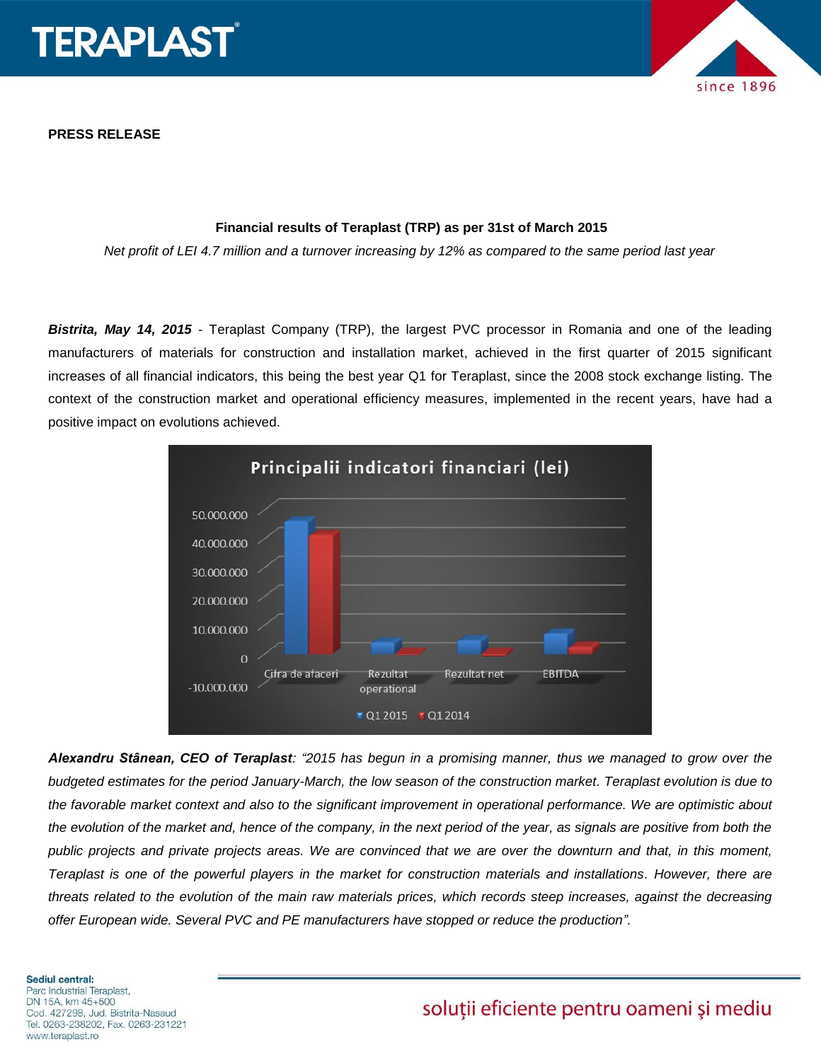

**PRESS RELEASE**



# **Financial results of Teraplast (TRP) as per 31st of March 2015**

*Net profit of LEI 4.7 million and a turnover increasing by 12% as compared to the same period last year*

*Bistrita, May 14, 2015* - Teraplast Company (TRP), the largest PVC processor in Romania and one of the leading manufacturers of materials for construction and installation market, achieved in the first quarter of 2015 significant increases of all financial indicators, this being the best year Q1 for Teraplast, since the 2008 stock exchange listing. The context of the construction market and operational efficiency measures, implemented in the recent years, have had a positive impact on evolutions achieved.



*Alexandru Stânean, CEO of Teraplast: "2015 has begun in a promising manner, thus we managed to grow over the budgeted estimates for the period January-March, the low season of the construction market. Teraplast evolution is due to the favorable market context and also to the significant improvement in operational performance. We are optimistic about the evolution of the market and, hence of the company, in the next period of the year, as signals are positive from both the public projects and private projects areas. We are convinced that we are over the downturn and that, in this moment, Teraplast is one of the powerful players in the market for construction materials and installations. However, there are threats related to the evolution of the main raw materials prices, which records steep increases, against the decreasing offer European wide. Several PVC and PE manufacturers have stopped or reduce the production".* 

### **Sediul central:**

Parc Industrial Teraplast, DN 15A, km 45+500 Cod. 427298, Jud. Bistrita-Nasaud Tel. 0263-238202, Fax. 0263-231221 www.teraplast.ro

# soluții eficiente pentru oameni și mediu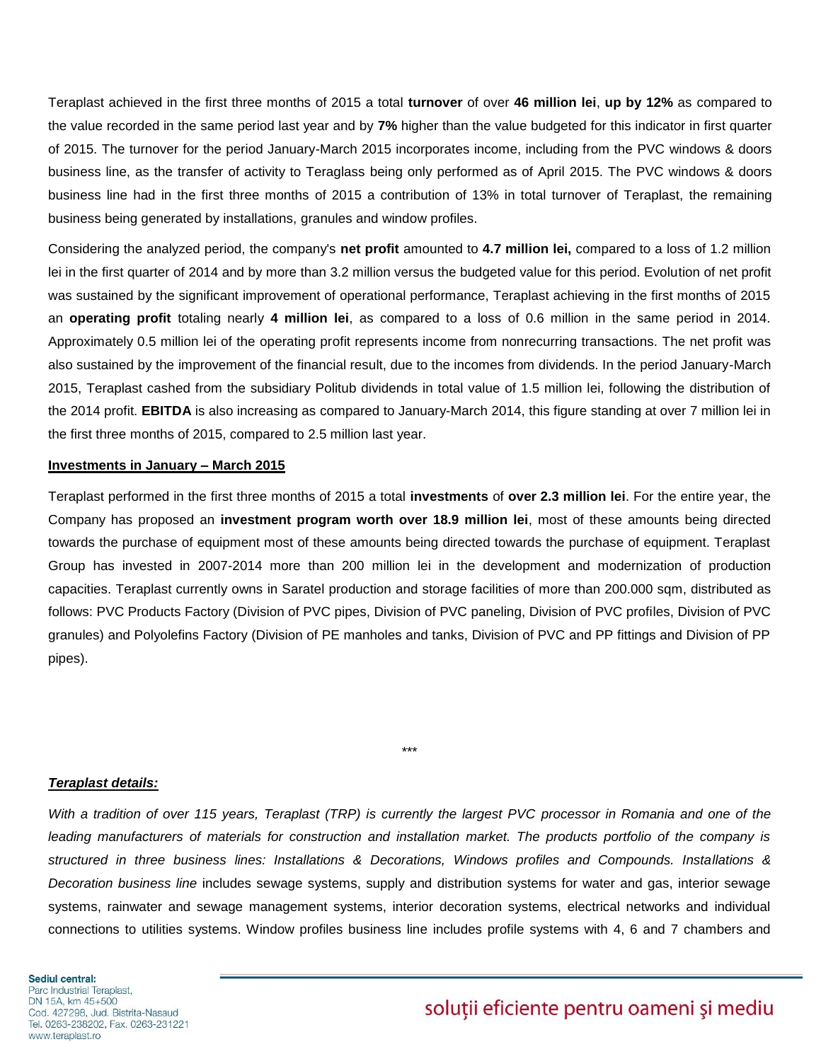Teraplast achieved in the first three months of 2015 a total **turnover** of over **46 million lei**, **up by 12%** as compared to the value recorded in the same period last year and by **7%** higher than the value budgeted for this indicator in first quarter of 2015. The turnover for the period January-March 2015 incorporates income, including from the PVC windows & doors business line, as the transfer of activity to Teraglass being only performed as of April 2015. The PVC windows & doors business line had in the first three months of 2015 a contribution of 13% in total turnover of Teraplast, the remaining business being generated by installations, granules and window profiles.

Considering the analyzed period, the company's **net profit** amounted to **4.7 million lei,** compared to a loss of 1.2 million lei in the first quarter of 2014 and by more than 3.2 million versus the budgeted value for this period. Evolution of net profit was sustained by the significant improvement of operational performance, Teraplast achieving in the first months of 2015 an **operating profit** totaling nearly **4 million lei**, as compared to a loss of 0.6 million in the same period in 2014. Approximately 0.5 million lei of the operating profit represents income from nonrecurring transactions. The net profit was also sustained by the improvement of the financial result, due to the incomes from dividends. In the period January-March 2015, Teraplast cashed from the subsidiary Politub dividends in total value of 1.5 million lei, following the distribution of the 2014 profit. **EBITDA** is also increasing as compared to January-March 2014, this figure standing at over 7 million lei in the first three months of 2015, compared to 2.5 million last year.

#### **Investments in January – March 2015**

Teraplast performed in the first three months of 2015 a total **investments** of **over 2.3 million lei**. For the entire year, the Company has proposed an **investment program worth over 18.9 million lei**, most of these amounts being directed towards the purchase of equipment most of these amounts being directed towards the purchase of equipment. Teraplast Group has invested in 2007-2014 more than 200 million lei in the development and modernization of production capacities. Teraplast currently owns in Saratel production and storage facilities of more than 200.000 sqm, distributed as follows: PVC Products Factory (Division of PVC pipes, Division of PVC paneling, Division of PVC profiles, Division of PVC granules) and Polyolefins Factory (Division of PE manholes and tanks, Division of PVC and PP fittings and Division of PP pipes).

#### *Teraplast details:*

*With a tradition of over 115 years, Teraplast (TRP) is currently the largest PVC processor in Romania and one of the leading manufacturers of materials for construction and installation market. The products portfolio of the company is structured in three business lines: Installations & Decorations, Windows profiles and Compounds. Installations & Decoration business line* includes sewage systems, supply and distribution systems for water and gas, interior sewage systems, rainwater and sewage management systems, interior decoration systems, electrical networks and individual connections to utilities systems. Window profiles business line includes profile systems with 4, 6 and 7 chambers and

\*\*\*

#### Sediul central: Parc Industrial Teraplast, DN 15A, km 45+500 Cod. 427298, Jud. Bistrita-Nasaud Tel. 0263-238202, Fax. 0263-231221 www.teraplast.ro

# solutii eficiente pentru oameni și mediu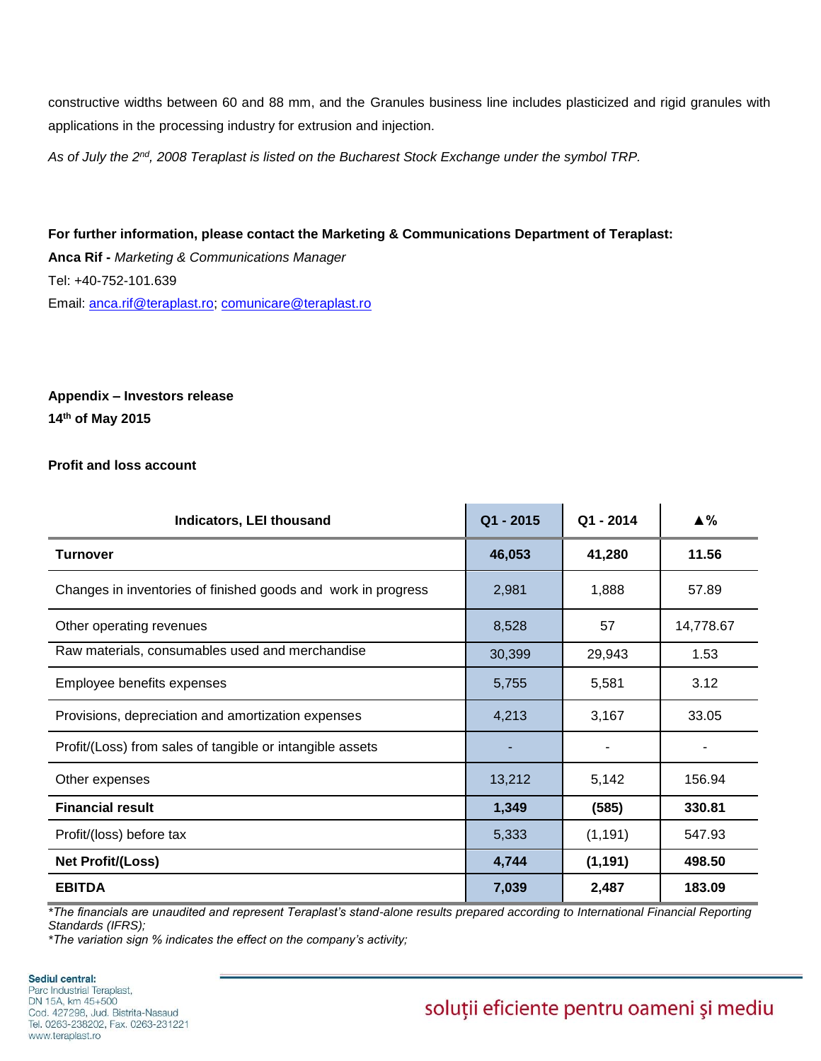constructive widths between 60 and 88 mm, and the Granules business line includes plasticized and rigid granules with applications in the processing industry for extrusion and injection.

*As of July the 2nd, 2008 Teraplast is listed on the Bucharest Stock Exchange under the symbol TRP.* 

**For further information, please contact the Marketing & Communications Department of Teraplast: Anca Rif -** *Marketing & Communications Manager* Tel: +40-752-101.639 Email: [anca.rif@teraplast.ro;](mailto:anca.rif@teraplast.ro) [comunicare@teraplast.ro](mailto:comunicare@teraplast.ro)

# **Appendix – Investors release 14th of May 2015**

# **Profit and loss account**

| <b>Indicators, LEI thousand</b>                               | Q1 - 2015 | Q1 - 2014 | ▲%        |
|---------------------------------------------------------------|-----------|-----------|-----------|
| <b>Turnover</b>                                               | 46,053    | 41,280    | 11.56     |
| Changes in inventories of finished goods and work in progress | 2,981     | 1,888     | 57.89     |
| Other operating revenues                                      | 8,528     | 57        | 14,778.67 |
| Raw materials, consumables used and merchandise               | 30,399    | 29,943    | 1.53      |
| Employee benefits expenses                                    | 5,755     | 5,581     | 3.12      |
| Provisions, depreciation and amortization expenses            | 4,213     | 3,167     | 33.05     |
| Profit/(Loss) from sales of tangible or intangible assets     |           |           |           |
| Other expenses                                                | 13,212    | 5,142     | 156.94    |
| <b>Financial result</b>                                       | 1,349     | (585)     | 330.81    |
| Profit/(loss) before tax                                      | 5,333     | (1, 191)  | 547.93    |
| <b>Net Profit/(Loss)</b>                                      | 4,744     | (1, 191)  | 498.50    |
| <b>EBITDA</b>                                                 | 7,039     | 2,487     | 183.09    |

*\*The financials are unaudited and represent Teraplast's stand-alone results prepared according to International Financial Reporting Standards (IFRS);*

*\*The variation sign % indicates the effect on the company's activity;*

Sediul central: Parc Industrial Teraplast, DN 15A, km 45+500 Cod. 427298. Jud. Bistrita-Nasaud Tel. 0263-238202, Fax. 0263-231221 www.teraplast.ro

# soluții eficiente pentru oameni și mediu